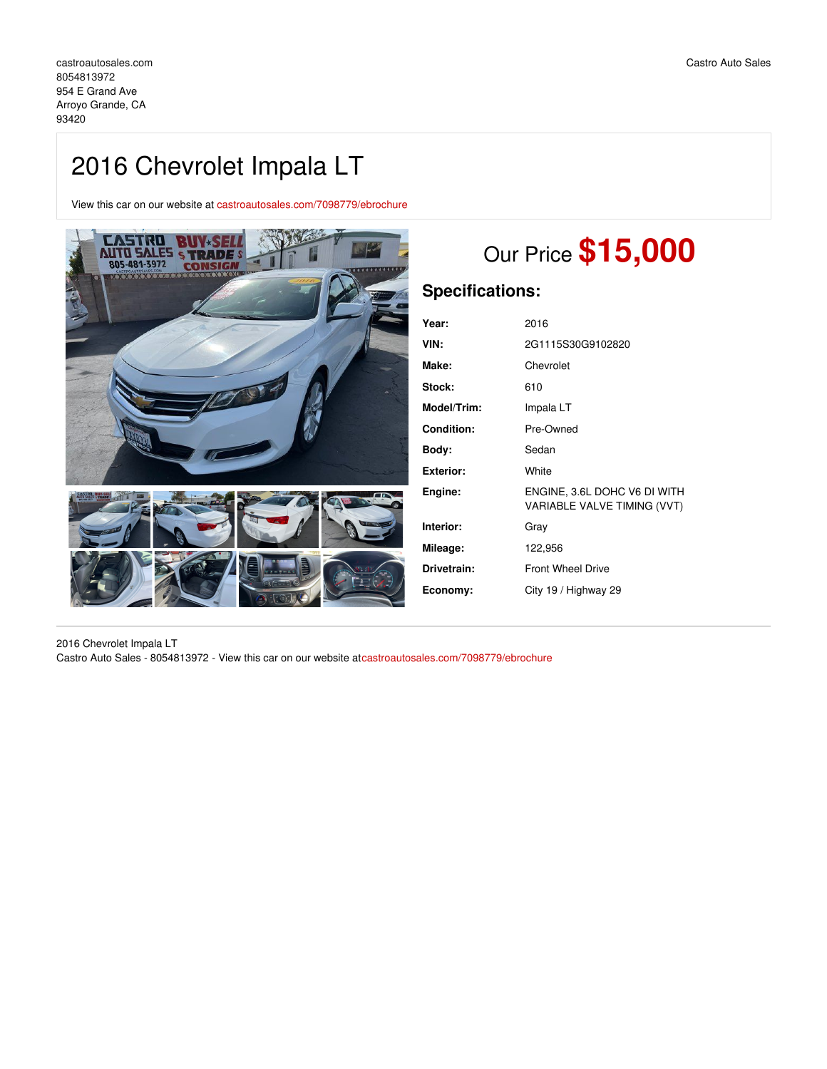## 2016 Chevrolet Impala LT

View this car on our website at [castroautosales.com/7098779/ebrochure](https://castroautosales.com/vehicle/7098779/2016-chevrolet-impala-lt-arroyo-grande-ca-93420/7098779/ebrochure)



# Our Price **\$15,000**

### **Specifications:**

| Year:       | 2016                                                        |
|-------------|-------------------------------------------------------------|
| VIN:        | 2G1115S30G9102820                                           |
| Make:       | Chevrolet                                                   |
| Stock:      | 610                                                         |
| Model/Trim: | Impala LT                                                   |
| Condition:  | Pre-Owned                                                   |
| Body:       | Sedan                                                       |
| Exterior:   | White                                                       |
| Engine:     | ENGINE, 3.6L DOHC V6 DI WITH<br>VARIABLE VALVE TIMING (VVT) |
| Interior:   | Gray                                                        |
| Mileage:    | 122,956                                                     |
| Drivetrain: | <b>Front Wheel Drive</b>                                    |
| Economy:    | City 19 / Highway 29                                        |
|             |                                                             |

2016 Chevrolet Impala LT Castro Auto Sales - 8054813972 - View this car on our website at[castroautosales.com/7098779/ebrochure](https://castroautosales.com/vehicle/7098779/2016-chevrolet-impala-lt-arroyo-grande-ca-93420/7098779/ebrochure)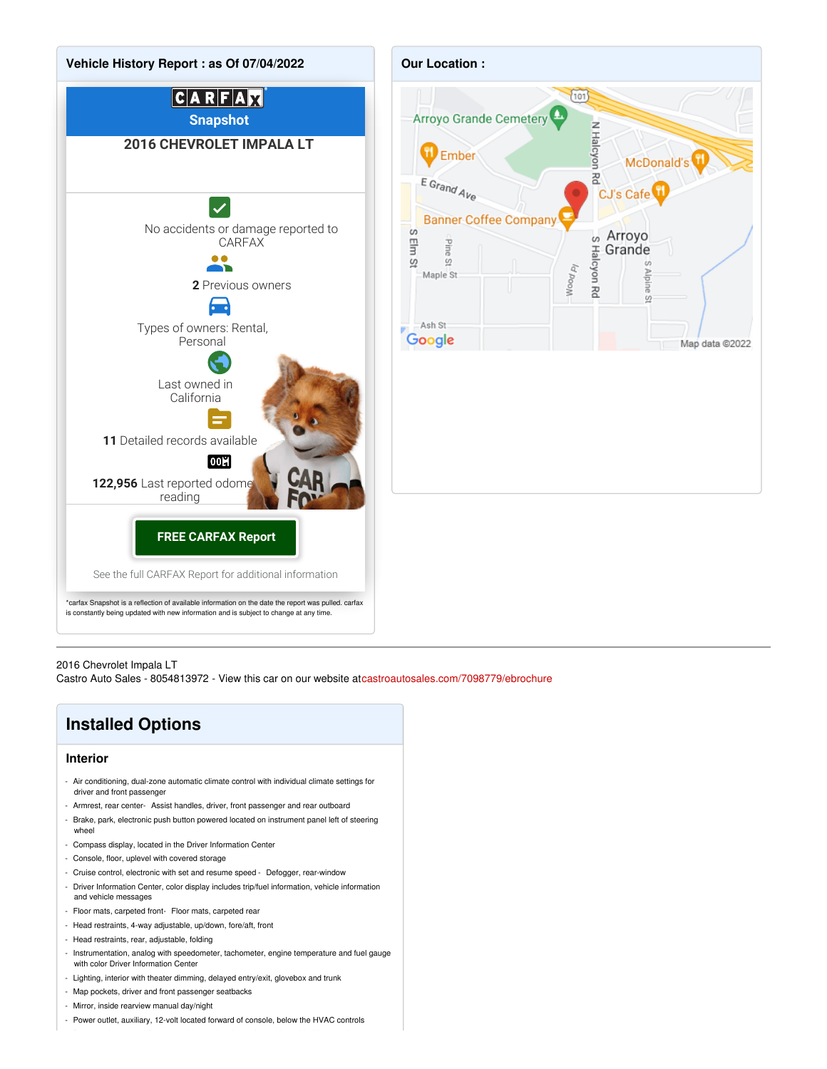

#### 2016 Chevrolet Impala LT

Castro Auto Sales - 8054813972 - View this car on our website at[castroautosales.com/7098779/ebrochure](https://castroautosales.com/vehicle/7098779/2016-chevrolet-impala-lt-arroyo-grande-ca-93420/7098779/ebrochure)

### **Installed Options**

#### **Interior**

- Air conditioning, dual-zone automatic climate control with individual climate settings for driver and front passenger
- Armrest, rear center- Assist handles, driver, front passenger and rear outboard
- Brake, park, electronic push button powered located on instrument panel left of steering wheel
- Compass display, located in the Driver Information Center
- Console, floor, uplevel with covered storage
- Cruise control, electronic with set and resume speed Defogger, rear-window
- Driver Information Center, color display includes trip/fuel information, vehicle information and vehicle messages
- Floor mats, carpeted front- Floor mats, carpeted rear
- Head restraints, 4-way adjustable, up/down, fore/aft, front
- Head restraints, rear, adjustable, folding
- Instrumentation, analog with speedometer, tachometer, engine temperature and fuel gauge with color Driver Information Center
- Lighting, interior with theater dimming, delayed entry/exit, glovebox and trunk
- Map pockets, driver and front passenger seatbacks
- Mirror, inside rearview manual day/night
- Power outlet, auxiliary, 12-volt located forward of console, below the HVAC controls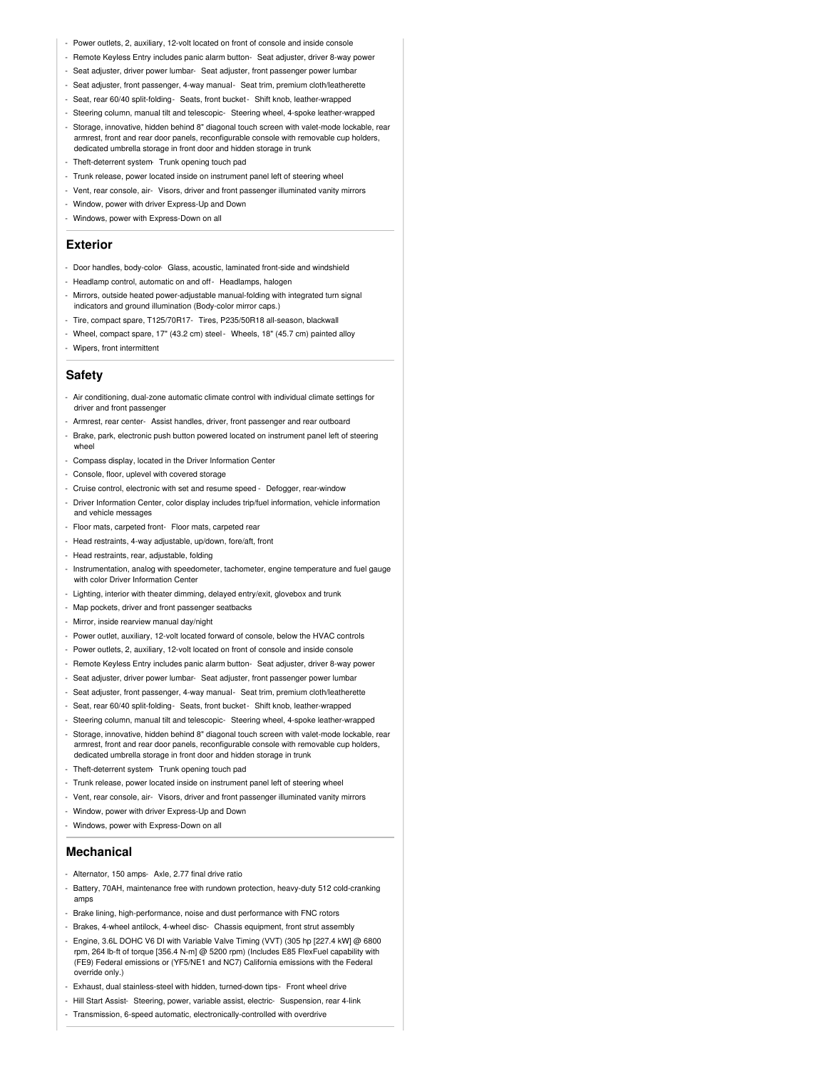- Power outlets, 2, auxiliary, 12-volt located on front of console and inside console
- Remote Keyless Entry includes panic alarm button- Seat adjuster, driver 8-way power
- Seat adjuster, driver power lumbar- Seat adjuster, front passenger power lumbar
- Seat adjuster, front passenger, 4-way manual- Seat trim, premium cloth/leatherette
- Seat, rear 60/40 split-folding- Seats, front bucket- Shift knob, leather-wrapped
- Steering column, manual tilt and telescopic- Steering wheel, 4-spoke leather-wrapped
- Storage, innovative, hidden behind 8" diagonal touch screen with valet-mode lockable, rear armrest, front and rear door panels, reconfigurable console with removable cup holders, dedicated umbrella storage in front door and hidden storage in trunk
- Theft-deterrent system- Trunk opening touch pad
- Trunk release, power located inside on instrument panel left of steering wheel
- Vent, rear console, air- Visors, driver and front passenger illuminated vanity mirrors
- Window, power with driver Express-Up and Down
- Windows, power with Express-Down on all

#### **Exterior**

- Door handles, body-color- Glass, acoustic, laminated front-side and windshield
- Headlamp control, automatic on and off- Headlamps, halogen
- Mirrors, outside heated power-adjustable manual-folding with integrated turn signal indicators and ground illumination (Body-color mirror caps.)
- Tire, compact spare, T125/70R17- Tires, P235/50R18 all-season, blackwall
- Wheel, compact spare, 17" (43.2 cm) steel- Wheels, 18" (45.7 cm) painted alloy
- Wipers, front intermittent

#### **Safety**

- Air conditioning, dual-zone automatic climate control with individual climate settings for driver and front passenger
- Armrest, rear center- Assist handles, driver, front passenger and rear outboard
- Brake, park, electronic push button powered located on instrument panel left of steering wheel
- Compass display, located in the Driver Information Center
- Console, floor, uplevel with covered storage
- Cruise control, electronic with set and resume speed Defogger, rear-window
- Driver Information Center, color display includes trip/fuel information, vehicle information and vehicle messages
- Floor mats, carpeted front- Floor mats, carpeted rear
- Head restraints, 4-way adjustable, up/down, fore/aft, front
- Head restraints, rear, adjustable, folding
- Instrumentation, analog with speedometer, tachometer, engine temperature and fuel gauge with color Driver Information Center
- Lighting, interior with theater dimming, delayed entry/exit, glovebox and trunk
- Map pockets, driver and front passenger seatbacks
- Mirror, inside rearview manual day/night
- Power outlet, auxiliary, 12-volt located forward of console, below the HVAC controls
- Power outlets, 2, auxiliary, 12-volt located on front of console and inside console
- Remote Keyless Entry includes panic alarm button- Seat adjuster, driver 8-way power
- Seat adjuster, driver power lumbar- Seat adjuster, front passenger power lumbar
- Seat adjuster, front passenger, 4-way manual- Seat trim, premium cloth/leatherette
- Seat, rear 60/40 split-folding- Seats, front bucket- Shift knob, leather-wrapped
- Steering column, manual tilt and telescopic- Steering wheel, 4-spoke leather-wrapped
- Storage, innovative, hidden behind 8" diagonal touch screen with valet-mode lockable, rear armrest, front and rear door panels, reconfigurable console with removable cup holders, dedicated umbrella storage in front door and hidden storage in trunk
- Theft-deterrent system- Trunk opening touch pad
- Trunk release, power located inside on instrument panel left of steering wheel
- Vent, rear console, air- Visors, driver and front passenger illuminated vanity mirrors
- Window, power with driver Express-Up and Down
- Windows, power with Express-Down on all

#### **Mechanical**

- Alternator, 150 amps- Axle, 2.77 final drive ratio
- Battery, 70AH, maintenance free with rundown protection, heavy-duty 512 cold-cranking amps
- Brake lining, high-performance, noise and dust performance with FNC rotors
- Brakes, 4-wheel antilock, 4-wheel disc- Chassis equipment, front strut assembly
- Engine, 3.6L DOHC V6 DI with Variable Valve Timing (VVT) (305 hp [227.4 kW] @ 6800 rpm, 264 lb-ft of torque [356.4 N-m] @ 5200 rpm) (Includes E85 FlexFuel capability with (FE9) Federal emissions or (YF5/NE1 and NC7) California emissions with the Federal override only.)
- Exhaust, dual stainless-steel with hidden, turned-down tips- Front wheel drive
- Hill Start Assist- Steering, power, variable assist, electric- Suspension, rear 4-link
- Transmission, 6-speed automatic, electronically-controlled with overdrive